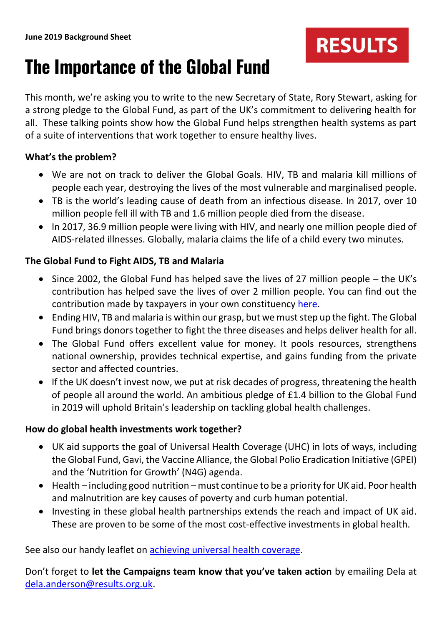# **The Importance of the Global Fund**

This month, we're asking you to write to the new Secretary of State, Rory Stewart, asking for a strong pledge to the Global Fund, as part of the UK's commitment to delivering health for all. These talking points show how the Global Fund helps strengthen health systems as part of a suite of interventions that work together to ensure healthy lives.

**RESULTS** 

### **What's the problem?**

- We are not on track to deliver the Global Goals. HIV, TB and malaria kill millions of people each year, destroying the lives of the most vulnerable and marginalised people.
- TB is the world's leading cause of death from an infectious disease. In 2017, over 10 million people fell ill with TB and 1.6 million people died from the disease.
- In 2017, 36.9 million people were living with HIV, and nearly one million people died of AIDS-related illnesses. Globally, malaria claims the life of a child every two minutes.

## **The Global Fund to Fight AIDS, TB and Malaria**

- Since 2002, the Global Fund has helped save the lives of 27 million people the UK's contribution has helped save the lives of over 2 million people. You can find out the contribution made by taxpayers in your own constituency [here.](https://stopaids.org.uk/lives-saved-through-the-global-fund/)
- Ending HIV, TB and malaria is within our grasp, but we must step up the fight. The Global Fund brings donors together to fight the three diseases and helps deliver health for all.
- The Global Fund offers excellent value for money. It pools resources, strengthens national ownership, provides technical expertise, and gains funding from the private sector and affected countries.
- If the UK doesn't invest now, we put at risk decades of progress, threatening the health of people all around the world. An ambitious pledge of £1.4 billion to the Global Fund in 2019 will uphold Britain's leadership on tackling global health challenges.

### **How do global health investments work together?**

- UK aid supports the goal of Universal Health Coverage (UHC) in lots of ways, including the Global Fund, Gavi, the Vaccine Alliance, the Global Polio Eradication Initiative (GPEI) and the 'Nutrition for Growth' (N4G) agenda.
- Health including good nutrition must continue to be a priority for UK aid. Poor health and malnutrition are key causes of poverty and curb human potential.
- Investing in these global health partnerships extends the reach and impact of UK aid. These are proven to be some of the most cost-effective investments in global health.

See also our handy leaflet on [achieving universal health coverage.](https://www.results.org.uk/sites/default/files/files/Results%2015%20x%2015cm%20v2.pdf)

Don't forget to **let the Campaigns team know that you've taken action** by emailing Dela at [dela.anderson@results.org.uk.](mailto:dela.anderson@results.org.uk)